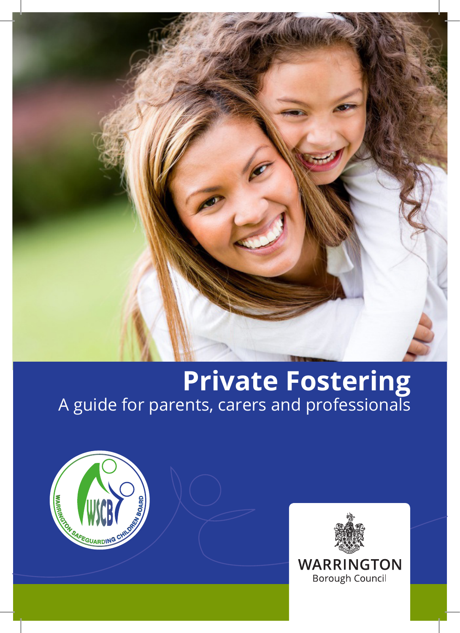

# **Private Fostering** A guide for parents, carers and professionals



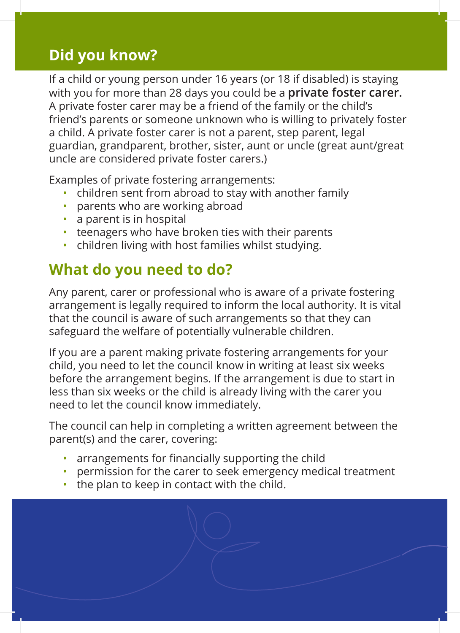### **Did you know?**

If a child or young person under 16 years (or 18 if disabled) is staying with you for more than 28 days you could be a **private foster carer.** A private foster carer may be a friend of the family or the child's friend's parents or someone unknown who is willing to privately foster a child. A private foster carer is not a parent, step parent, legal guardian, grandparent, brother, sister, aunt or uncle (great aunt/great uncle are considered private foster carers.)

Examples of private fostering arrangements:

- children sent from abroad to stay with another family
- parents who are working abroad
- a parent is in hospital
- teenagers who have broken ties with their parents
- children living with host families whilst studying.

# **What do you need to do?**

Any parent, carer or professional who is aware of a private fostering arrangement is legally required to inform the local authority. It is vital that the council is aware of such arrangements so that they can safeguard the welfare of potentially vulnerable children.

If you are a parent making private fostering arrangements for your child, you need to let the council know in writing at least six weeks before the arrangement begins. If the arrangement is due to start in less than six weeks or the child is already living with the carer you need to let the council know immediately.

The council can help in completing a written agreement between the parent(s) and the carer, covering:

- arrangements for financially supporting the child
- permission for the carer to seek emergency medical treatment
- the plan to keep in contact with the child.

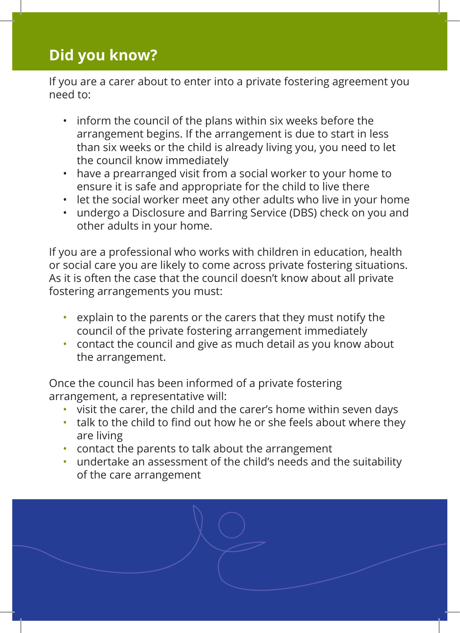#### **Did you know?**

If you are a carer about to enter into a private fostering agreement you need to:

- inform the council of the plans within six weeks before the arrangement begins. If the arrangement is due to start in less than six weeks or the child is already living you, you need to let the council know immediately
- have a prearranged visit from a social worker to your home to ensure it is safe and appropriate for the child to live there
- let the social worker meet any other adults who live in your home
- undergo a Disclosure and Barring Service (DBS) check on you and other adults in your home.

If you are a professional who works with children in education, health or social care you are likely to come across private fostering situations. As it is often the case that the council doesn't know about all private fostering arrangements you must:

- explain to the parents or the carers that they must notify the council of the private fostering arrangement immediately
- contact the council and give as much detail as you know about the arrangement.

Once the council has been informed of a private fostering arrangement, a representative will:

- visit the carer, the child and the carer's home within seven days
- talk to the child to find out how he or she feels about where they are living
- contact the parents to talk about the arrangement
- undertake an assessment of the child's needs and the suitability of the care arrangement